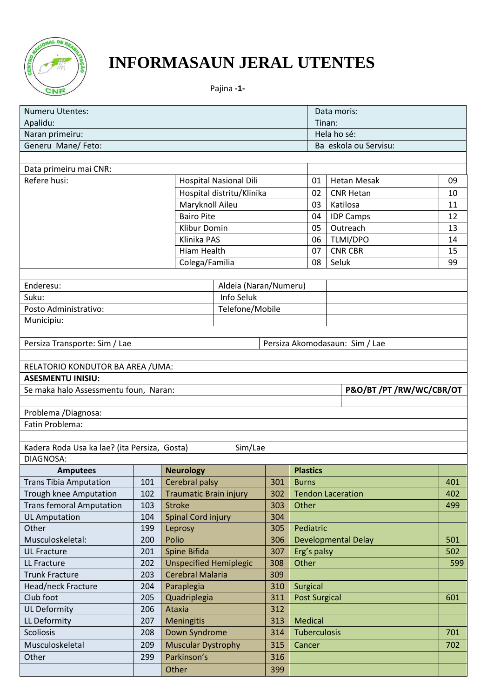

# **INFORMASAUN JERAL UTENTES**

Pajina **-1-**

| <b>Numeru Utentes:</b>                       |     |                               |                                             |     |                      | Data moris:                    |     |  |
|----------------------------------------------|-----|-------------------------------|---------------------------------------------|-----|----------------------|--------------------------------|-----|--|
| Apalidu:                                     |     |                               |                                             |     |                      | Tinan:                         |     |  |
| Naran primeiru:                              |     |                               |                                             |     |                      | Hela ho sé:                    |     |  |
| Generu Mane/ Feto:                           |     |                               |                                             |     |                      | Ba eskola ou Servisu:          |     |  |
|                                              |     |                               |                                             |     |                      |                                |     |  |
| Data primeiru mai CNR:                       |     |                               |                                             |     |                      |                                |     |  |
| Refere husi:                                 |     |                               | <b>Hospital Nasional Dili</b>               |     | 01                   | <b>Hetan Mesak</b>             | 09  |  |
|                                              |     |                               | Hospital distritu/Klinika                   |     | 02                   | <b>CNR Hetan</b>               | 10  |  |
|                                              |     | Maryknoll Aileu               |                                             |     | 03                   | Katilosa                       | 11  |  |
|                                              |     | <b>Bairo Pite</b>             |                                             |     | 04                   | <b>IDP Camps</b>               | 12  |  |
|                                              |     | Klibur Domin                  |                                             |     | 05                   | Outreach                       | 13  |  |
|                                              |     | Klinika PAS                   |                                             |     | 06                   | TLMI/DPO                       | 14  |  |
|                                              |     | Hiam Health                   |                                             |     | 07                   | <b>CNR CBR</b>                 | 15  |  |
|                                              |     | Colega/Familia                |                                             |     | 08                   | Seluk                          | 99  |  |
|                                              |     |                               |                                             |     |                      |                                |     |  |
| Enderesu:                                    |     |                               | Aldeia (Naran/Numeru)                       |     |                      |                                |     |  |
| Suku:                                        |     |                               | Info Seluk                                  |     |                      |                                |     |  |
| Posto Administrativo:                        |     |                               | Telefone/Mobile                             |     |                      |                                |     |  |
| Municipiu:                                   |     |                               |                                             |     |                      |                                |     |  |
|                                              |     |                               |                                             |     |                      |                                |     |  |
| Persiza Transporte: Sim / Lae                |     |                               |                                             |     |                      | Persiza Akomodasaun: Sim / Lae |     |  |
|                                              |     |                               |                                             |     |                      |                                |     |  |
| RELATORIO KONDUTOR BA AREA / UMA:            |     |                               |                                             |     |                      |                                |     |  |
| <b>ASESMENTU INISIU:</b>                     |     |                               |                                             |     |                      |                                |     |  |
| Se maka halo Assessmentu foun, Naran:        |     |                               |                                             |     |                      | P&O/BT/PT/RW/WC/CBR/OT         |     |  |
| Problema / Diagnosa:                         |     |                               |                                             |     |                      |                                |     |  |
| Fatin Problema:                              |     |                               |                                             |     |                      |                                |     |  |
|                                              |     |                               |                                             |     |                      |                                |     |  |
| Kadera Roda Usa ka lae? (ita Persiza, Gosta) |     |                               | Sim/Lae                                     |     |                      |                                |     |  |
| DIAGNOSA:                                    |     |                               |                                             |     |                      |                                |     |  |
| <b>Amputees</b>                              |     | <b>Neurology</b>              |                                             |     | <b>Plastics</b>      |                                |     |  |
| <b>Trans Tibia Amputation</b>                | 101 | Cerebral palsy                |                                             | 301 | <b>Burns</b>         |                                | 401 |  |
| Trough knee Amputation                       | 102 | <b>Traumatic Brain injury</b> |                                             | 302 |                      | <b>Tendon Laceration</b>       | 402 |  |
| <b>Trans femoral Amputation</b>              | 103 | <b>Stroke</b>                 |                                             | 303 | Other                |                                | 499 |  |
| <b>UL Amputation</b>                         | 104 | <b>Spinal Cord injury</b>     |                                             | 304 |                      |                                |     |  |
| Other                                        | 199 | Leprosy                       |                                             | 305 | Pediatric            |                                |     |  |
| Musculoskeletal:                             | 200 | Polio                         |                                             | 306 |                      | <b>Developmental Delay</b>     | 501 |  |
| <b>UL Fracture</b>                           | 201 | Spine Bifida                  |                                             | 307 | Erg's palsy          |                                | 502 |  |
| LL Fracture                                  | 202 | <b>Unspecified Hemiplegic</b> |                                             | 308 | Other                |                                | 599 |  |
| <b>Trunk Fracture</b>                        | 203 | <b>Cerebral Malaria</b>       |                                             | 309 |                      |                                |     |  |
| Head/neck Fracture                           | 204 | Paraplegia                    |                                             | 310 | <b>Surgical</b>      |                                |     |  |
| Club foot                                    | 205 | Quadriplegia                  |                                             | 311 | <b>Post Surgical</b> |                                | 601 |  |
| <b>UL Deformity</b>                          | 206 | Ataxia                        |                                             | 312 |                      |                                |     |  |
| LL Deformity                                 | 207 | <b>Meningitis</b>             |                                             | 313 | <b>Medical</b>       |                                |     |  |
| <b>Scoliosis</b>                             | 208 |                               | Down Syndrome<br><b>Tuberculosis</b><br>314 |     |                      |                                |     |  |
| Musculoskeletal                              |     |                               |                                             |     |                      |                                |     |  |
|                                              | 209 | <b>Muscular Dystrophy</b>     |                                             | 315 | Cancer               |                                | 702 |  |
| Other                                        | 299 | Parkinson's                   |                                             | 316 |                      |                                |     |  |
|                                              |     | Other                         |                                             | 399 |                      |                                |     |  |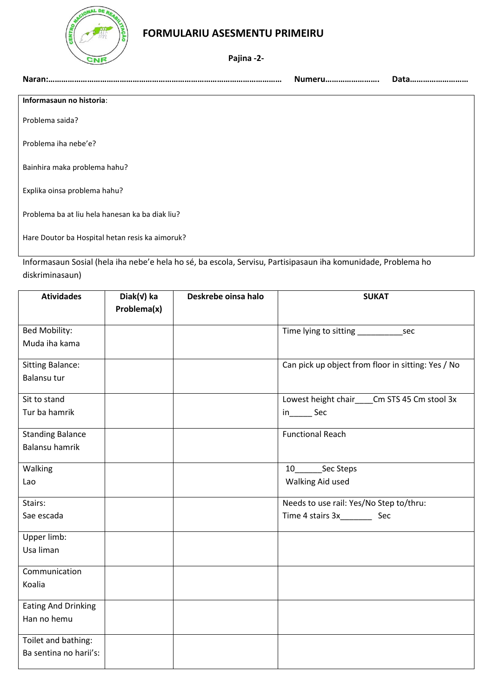

### **FORMULARIU ASESMENTU PRIMEIRU**

**Pajina -2-**

| Naran:.                                         | Numeru | Data |
|-------------------------------------------------|--------|------|
| Informasaun no historia:                        |        |      |
| Problema saida?                                 |        |      |
| Problema iha nebe'e?                            |        |      |
| Bainhira maka problema hahu?                    |        |      |
| Explika oinsa problema hahu?                    |        |      |
| Problema ba at liu hela hanesan ka ba diak liu? |        |      |

Hare Doutor ba Hospital hetan resis ka aimoruk?

Informasaun Sosial (hela iha nebe'e hela ho sé, ba escola, Servisu, Partisipasaun iha komunidade, Problema ho diskriminasaun)

| <b>Atividades</b>          | Diak(v) ka  | Deskrebe oinsa halo | <b>SUKAT</b>                                       |
|----------------------------|-------------|---------------------|----------------------------------------------------|
|                            | Problema(x) |                     |                                                    |
|                            |             |                     |                                                    |
| Bed Mobility:              |             |                     |                                                    |
| Muda iha kama              |             |                     |                                                    |
| <b>Sitting Balance:</b>    |             |                     | Can pick up object from floor in sitting: Yes / No |
| Balansu tur                |             |                     |                                                    |
| Sit to stand               |             |                     | Lowest height chair____Cm STS 45 Cm stool 3x       |
| Tur ba hamrik              |             |                     | in_________ Sec                                    |
| <b>Standing Balance</b>    |             |                     | <b>Functional Reach</b>                            |
| <b>Balansu hamrik</b>      |             |                     |                                                    |
| Walking                    |             |                     | Sec Steps<br>10                                    |
| Lao                        |             |                     | Walking Aid used                                   |
| Stairs:                    |             |                     | Needs to use rail: Yes/No Step to/thru:            |
| Sae escada                 |             |                     |                                                    |
| Upper limb:                |             |                     |                                                    |
| Usa liman                  |             |                     |                                                    |
| Communication              |             |                     |                                                    |
| Koalia                     |             |                     |                                                    |
| <b>Eating And Drinking</b> |             |                     |                                                    |
| Han no hemu                |             |                     |                                                    |
| Toilet and bathing:        |             |                     |                                                    |
| Ba sentina no harii's:     |             |                     |                                                    |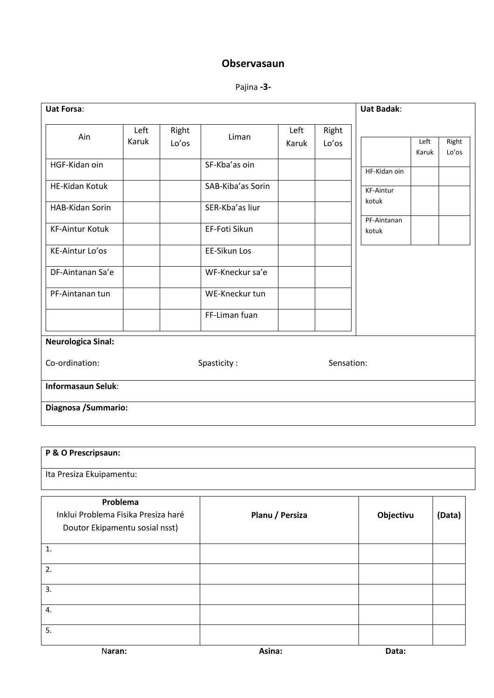## **Observasaun**

Pajina **-3-**

| <b>Uat Forsa:</b>         |       |       |                   |       |            | <b>Uat Badak:</b> |       |       |
|---------------------------|-------|-------|-------------------|-------|------------|-------------------|-------|-------|
|                           | Left  | Right |                   | Left  | Right      |                   |       |       |
| Ain                       | Karuk | Lo'os | Liman             | Karuk | Lo'os      |                   | Left  | Right |
| HGF-Kidan oin             |       |       | SF-Kba'as oin     |       |            |                   | Karuk | Lo'os |
|                           |       |       |                   |       |            | HF-Kidan oin      |       |       |
| <b>HE-Kidan Kotuk</b>     |       |       | SAB-Kiba'as Sorin |       |            | <b>KF-Aintur</b>  |       |       |
| <b>HAB-Kidan Sorin</b>    |       |       | SER-Kba'as liur   |       |            | kotuk             |       |       |
|                           |       |       |                   |       |            | PF-Aintanan       |       |       |
| <b>KF-Aintur Kotuk</b>    |       |       | EF-Foti Sikun     |       |            | kotuk             |       |       |
| KE-Aintur Lo'os           |       |       | EE-Sikun Los      |       |            |                   |       |       |
| DF-Aintanan Sa'e          |       |       | WF-Kneckur sa'e   |       |            |                   |       |       |
| PF-Aintanan tun           |       |       | WE-Kneckur tun    |       |            |                   |       |       |
|                           |       |       | FF-Liman fuan     |       |            |                   |       |       |
| <b>Neurologica Sinal:</b> |       |       |                   |       |            |                   |       |       |
| Co-ordination:            |       |       | Spasticity:       |       | Sensation: |                   |       |       |
| <b>Informasaun Seluk:</b> |       |       |                   |       |            |                   |       |       |
| Diagnosa / Summario:      |       |       |                   |       |            |                   |       |       |

#### **P & O Prescripsaun:**

Ita Presiza Ekuipamentu:

| Problema<br>Inklui Problema Fisika Presiza haré<br>Doutor Ekipamentu sosial nsst) | Planu / Persiza | Objectivu | (Data) |
|-----------------------------------------------------------------------------------|-----------------|-----------|--------|
| 1.                                                                                |                 |           |        |
| 2.                                                                                |                 |           |        |
| 3.                                                                                |                 |           |        |
| 4.                                                                                |                 |           |        |
| 5.                                                                                |                 |           |        |
| Naran:                                                                            | Asina:          | Data:     |        |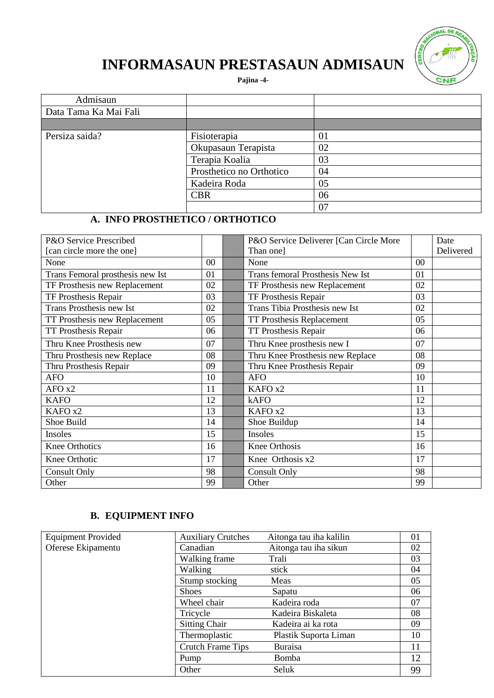

# **INFORMASAUN PRESTASAUN ADMISAUN**

**Pajina -4-**

| Admisaun              |                          |    |
|-----------------------|--------------------------|----|
| Data Tama Ka Mai Fali |                          |    |
|                       |                          |    |
| Persiza saida?        | Fisioterapia             | 01 |
|                       | Okupasaun Terapista      | 02 |
|                       | Terapia Koalia           | 03 |
|                       | Prosthetico no Orthotico | 04 |
|                       | Kadeira Roda             | 05 |
|                       | <b>CBR</b>               | 06 |
|                       |                          | 07 |

### **A. INFO PROSTHETICO / ORTHOTICO**

| P&O Service Prescribed           |        | P&O Service Deliverer [Can Circle More |        | Date      |
|----------------------------------|--------|----------------------------------------|--------|-----------|
| [can circle more the one]        |        | Than one]                              |        | Delivered |
| None                             | $00\,$ | None                                   | $00\,$ |           |
| Trans Femoral prosthesis new Ist | 01     | Trans femoral Prosthesis New Ist       | 01     |           |
| TF Prosthesis new Replacement    | 02     | TF Prosthesis new Replacement          | 02     |           |
| TF Prosthesis Repair             | 03     | TF Prosthesis Repair                   | 03     |           |
| <b>Trans Prosthesis new Ist</b>  | 02     | Trans Tibia Prosthesis new Ist         | 02     |           |
| TT Prosthesis new Replacement    | 05     | TT Prosthesis Replacement              | 05     |           |
| <b>TT Prosthesis Repair</b>      | 06     | TT Prosthesis Repair                   | 06     |           |
| Thru Knee Prosthesis new         | 07     | Thru Knee prosthesis new I             | 07     |           |
| Thru Prosthesis new Replace      | 08     | Thru Knee Prosthesis new Replace       | 08     |           |
| Thru Prosthesis Repair           | 09     | Thru Knee Prosthesis Repair            | 09     |           |
| <b>AFO</b>                       | 10     | <b>AFO</b>                             | 10     |           |
| AFO x2                           | 11     | KAFO x2                                | 11     |           |
| <b>KAFO</b>                      | 12     | kAFO                                   | 12     |           |
| KAFO x2                          | 13     | KAFO x2                                | 13     |           |
| Shoe Build                       | 14     | Shoe Buildup                           | 14     |           |
| Insoles                          | 15     | Insoles                                | 15     |           |
| <b>Knee Orthotics</b>            | 16     | Knee Orthosis                          | 16     |           |
| Knee Orthotic                    | 17     | Knee Orthosis x2                       | 17     |           |
| Consult Only                     | 98     | <b>Consult Only</b>                    | 98     |           |
| Other                            | 99     | Other                                  | 99     |           |

## **B. EQUIPMENT INFO**

| <b>Equipment Provided</b> | <b>Auxiliary Crutches</b> | Aitonga tau iha kalilin | 01 |
|---------------------------|---------------------------|-------------------------|----|
| Oferese Ekipamentu        | Canadian                  | Aitonga tau iha sikun   | 02 |
|                           | Walking frame             | Trali                   | 03 |
|                           | Walking                   | stick                   | 04 |
|                           | Stump stocking            | Meas                    | 05 |
|                           | <b>Shoes</b>              | Sapatu                  | 06 |
|                           | Wheel chair               | Kadeira roda            | 07 |
|                           | Tricycle                  | Kadeira Biskaleta       | 08 |
|                           | <b>Sitting Chair</b>      | Kadeira ai ka rota      | 09 |
|                           | Thermoplastic             | Plastik Suporta Liman   | 10 |
|                           | <b>Crutch Frame Tips</b>  | <b>Buraisa</b>          | 11 |
|                           | Pump                      | <b>Bomba</b>            | 12 |
|                           | Other                     | Seluk                   | 99 |
|                           |                           |                         |    |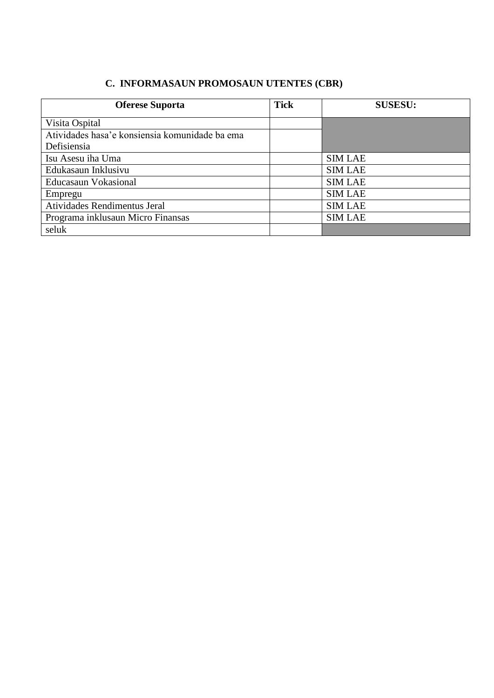#### C. INFORMASAUN PROMOSAUN UTENTES (CBR)

| <b>Oferese Suporta</b>                         | <b>Tick</b> | <b>SUSESU:</b> |
|------------------------------------------------|-------------|----------------|
| Visita Ospital                                 |             |                |
| Atividades hasa'e konsiensia komunidade ba ema |             |                |
| Defisiensia                                    |             |                |
| Isu Asesu iha Uma                              |             | <b>SIM LAE</b> |
| Edukasaun Inklusivu                            |             | <b>SIM LAE</b> |
| Educasaun Vokasional                           |             | <b>SIM LAE</b> |
| Empregu                                        |             | <b>SIM LAE</b> |
| Atividades Rendimentus Jeral                   |             | <b>SIM LAE</b> |
| Programa inklusaun Micro Finansas              |             | <b>SIM LAE</b> |
| seluk                                          |             |                |